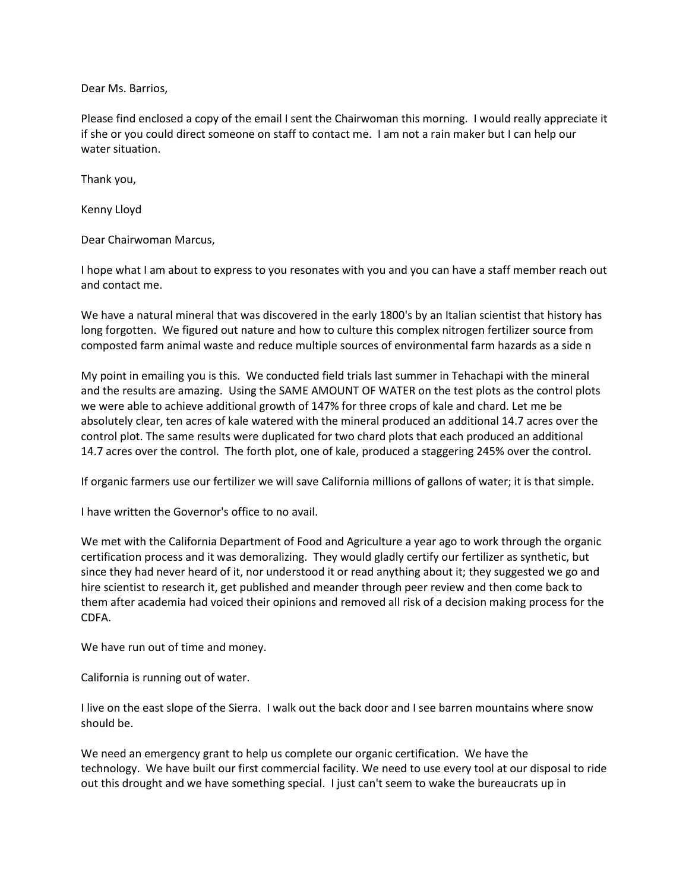Dear Ms. Barrios,

Please find enclosed a copy of the email I sent the Chairwoman this morning. I would really appreciate it if she or you could direct someone on staff to contact me. I am not a rain maker but I can help our water situation.

Thank you,

Kenny Lloyd

Dear Chairwoman Marcus,

I hope what I am about to express to you resonates with you and you can have a staff member reach out and contact me.

We have a natural mineral that was discovered in the early 1800's by an Italian scientist that history has long forgotten. We figured out nature and how to culture this complex nitrogen fertilizer source from composted farm animal waste and reduce multiple sources of environmental farm hazards as a side n

My point in emailing you is this. We conducted field trials last summer in Tehachapi with the mineral and the results are amazing. Using the SAME AMOUNT OF WATER on the test plots as the control plots we were able to achieve additional growth of 147% for three crops of kale and chard. Let me be absolutely clear, ten acres of kale watered with the mineral produced an additional 14.7 acres over the control plot. The same results were duplicated for two chard plots that each produced an additional 14.7 acres over the control. The forth plot, one of kale, produced a staggering 245% over the control.

If organic farmers use our fertilizer we will save California millions of gallons of water; it is that simple.

I have written the Governor's office to no avail.

We met with the California Department of Food and Agriculture a year ago to work through the organic certification process and it was demoralizing. They would gladly certify our fertilizer as synthetic, but since they had never heard of it, nor understood it or read anything about it; they suggested we go and hire scientist to research it, get published and meander through peer review and then come back to them after academia had voiced their opinions and removed all risk of a decision making process for the CDFA.

We have run out of time and money.

California is running out of water.

I live on the east slope of the Sierra. I walk out the back door and I see barren mountains where snow should be.

We need an emergency grant to help us complete our organic certification. We have the technology. We have built our first commercial facility. We need to use every tool at our disposal to ride out this drought and we have something special. I just can't seem to wake the bureaucrats up in